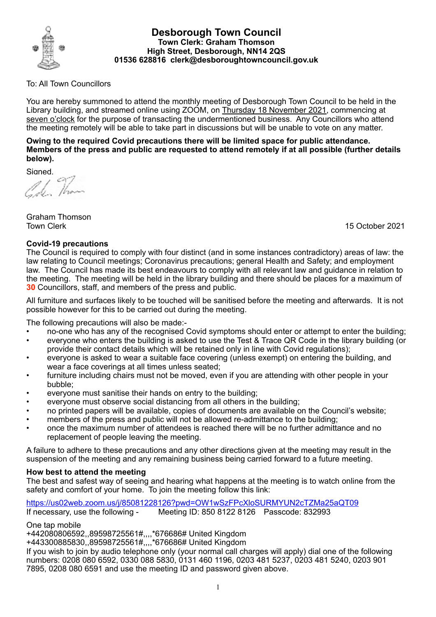

#### **Desborough Town Council Town Clerk: Graham Thomson High Street, Desborough, NN14 2QS 01536 628816 clerk@desboroughtowncouncil.gov.uk**

## To: All Town Councillors

You are hereby summoned to attend the monthly meeting of Desborough Town Council to be held in the Library building, and streamed online using ZOOM, on Thursday 18 November 2021, commencing at seven o'clock for the purpose of transacting the undermentioned business. Any Councillors who attend the meeting remotely will be able to take part in discussions but will be unable to vote on any matter.

**Owing to the required Covid precautions there will be limited space for public attendance. Members of the press and public are requested to attend remotely if at all possible (further details below).**

Sianed.

Graham Thomson Town Clerk 15 October 2021

## **Covid-19 precautions**

The Council is required to comply with four distinct (and in some instances contradictory) areas of law: the law relating to Council meetings; Coronavirus precautions; general Health and Safety; and employment law. The Council has made its best endeavours to comply with all relevant law and guidance in relation to the meeting. The meeting will be held in the library building and there should be places for a maximum of **30** Councillors, staff, and members of the press and public.

All furniture and surfaces likely to be touched will be sanitised before the meeting and afterwards. It is not possible however for this to be carried out during the meeting.

The following precautions will also be made:-

- no-one who has any of the recognised Covid symptoms should enter or attempt to enter the building;
- everyone who enters the building is asked to use the Test & Trace QR Code in the library building (or provide their contact details which will be retained only in line with Covid regulations);
- everyone is asked to wear a suitable face covering (unless exempt) on entering the building, and wear a face coverings at all times unless seated;
- furniture including chairs must not be moved, even if you are attending with other people in your bubble;
- everyone must sanitise their hands on entry to the building;
- everyone must observe social distancing from all others in the building;
- no printed papers will be available, copies of documents are available on the Council's website;
- members of the press and public will not be allowed re-admittance to the building;
- once the maximum number of attendees is reached there will be no further admittance and no replacement of people leaving the meeting.

A failure to adhere to these precautions and any other directions given at the meeting may result in the suspension of the meeting and any remaining business being carried forward to a future meeting.

## **How best to attend the meeting**

The best and safest way of seeing and hearing what happens at the meeting is to watch online from the safety and comfort of your home. To join the meeting follow this link:

https://us02web.zoom.us/j/85081228126?pwd=OW1wSzFPcXloSURMYUN2cTZMa25aQT09 If necessary, use the following - Meeting ID: 850 8122 8126 Passcode: 832993

## One tap mobile

+442080806592,,89598725561#,,,,\*676686# United Kingdom

+443300885830,,89598725561#,,,,\*676686# United Kingdom

If you wish to join by audio telephone only (your normal call charges will apply) dial one of the following numbers: 0208 080 6592, 0330 088 5830, 0131 460 1196, 0203 481 5237, 0203 481 5240, 0203 901 7895, 0208 080 6591 and use the meeting ID and password given above.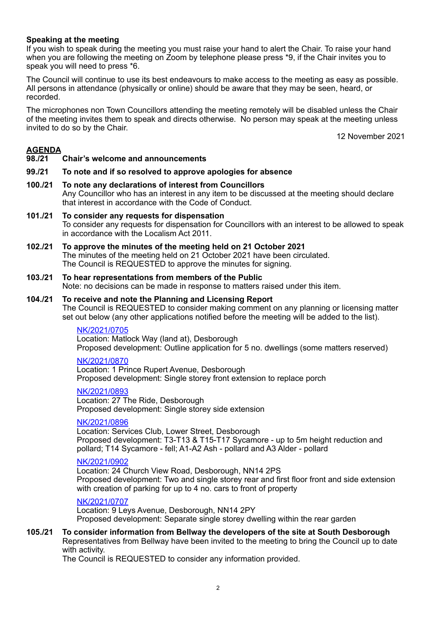## **Speaking at the meeting**

If you wish to speak during the meeting you must raise your hand to alert the Chair. To raise your hand when you are following the meeting on Zoom by telephone please press \*9, if the Chair invites you to speak you will need to press \*6.

The Council will continue to use its best endeavours to make access to the meeting as easy as possible. All persons in attendance (physically or online) should be aware that they may be seen, heard, or recorded.

The microphones non Town Councillors attending the meeting remotely will be disabled unless the Chair of the meeting invites them to speak and directs otherwise. No person may speak at the meeting unless invited to do so by the Chair.

12 November 2021

# **AGENDA**

## **98./21 Chair's welcome and announcements**

#### **99./21 To note and if so resolved to approve apologies for absence**

- **100./21 To note any declarations of interest from Councillors** Any Councillor who has an interest in any item to be discussed at the meeting should declare that interest in accordance with the Code of Conduct.
- **101./21 To consider any requests for dispensation**

To consider any requests for dispensation for Councillors with an interest to be allowed to speak in accordance with the Localism Act 2011.

- **102./21 To approve the minutes of the meeting held on 21 October 2021** The minutes of the meeting held on 21 October 2021 have been circulated. The Council is REQUESTED to approve the minutes for signing.
- **103./21 To hear representations from members of the Public**  Note: no decisions can be made in response to matters raised under this item.
- **104./21 To receive and note the Planning and Licensing Report** The Council is REQUESTED to consider making comment on any planning or licensing matter set out below (any other applications notified before the meeting will be added to the list).

#### [NK/2021/0705](https://www.kettering.gov.uk/planningApplication/131383)

Location: Matlock Way (land at), Desborough Proposed development: Outline application for 5 no. dwellings (some matters reserved)

#### [NK/2021/0870](https://www.kettering.gov.uk/planningApplication/131373)

Location: 1 Prince Rupert Avenue, Desborough Proposed development: Single storey front extension to replace porch

#### [NK/2021/0893](https://www.kettering.gov.uk/planningApplication/131395)

Location: 27 The Ride, Desborough Proposed development: Single storey side extension

#### [NK/2021/0896](https://www.kettering.gov.uk/planningApplication/131397)

Location: Services Club, Lower Street, Desborough Proposed development: T3-T13 & T15-T17 Sycamore - up to 5m height reduction and pollard; T14 Sycamore - fell; A1-A2 Ash - pollard and A3 Alder - pollard

#### [NK/2021/0902](https://www.kettering.gov.uk/planningApplication/131409)

Location: 24 Church View Road, Desborough, NN14 2PS Proposed development: Two and single storey rear and first floor front and side extension with creation of parking for up to 4 no. cars to front of property

#### [NK/2021/0707](https://www.kettering.gov.uk/planningApplication/131345)

Location: 9 Leys Avenue, Desborough, NN14 2PY Proposed development: Separate single storey dwelling within the rear garden

**105./21 To consider information from Bellway the developers of the site at South Desborough** Representatives from Bellway have been invited to the meeting to bring the Council up to date with activity.

The Council is REQUESTED to consider any information provided.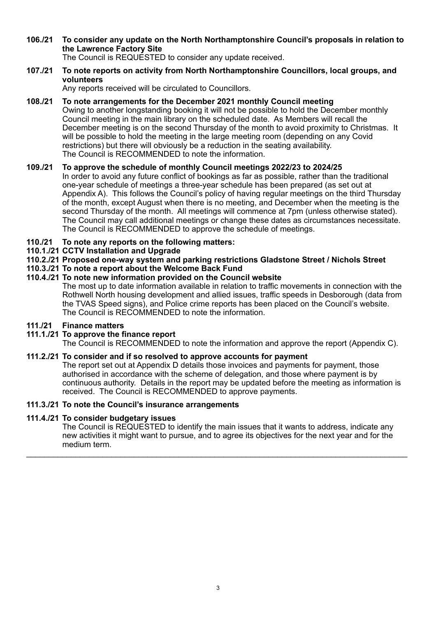**106./21 To consider any update on the North Northamptonshire Council's proposals in relation to the Lawrence Factory Site**

The Council is REQUESTED to consider any update received.

# **107./21 To note reports on activity from North Northamptonshire Councillors, local groups, and volunteers**

Any reports received will be circulated to Councillors.

#### **108./21 To note arrangements for the December 2021 monthly Council meeting** Owing to another longstanding booking it will not be possible to hold the December monthly Council meeting in the main library on the scheduled date. As Members will recall the December meeting is on the second Thursday of the month to avoid proximity to Christmas. It will be possible to hold the meeting in the large meeting room (depending on any Covid restrictions) but there will obviously be a reduction in the seating availability. The Council is RECOMMENDED to note the information.

## **109./21 To approve the schedule of monthly Council meetings 2022/23 to 2024/25**

In order to avoid any future conflict of bookings as far as possible, rather than the traditional one-year schedule of meetings a three-year schedule has been prepared (as set out at Appendix A). This follows the Council's policy of having regular meetings on the third Thursday of the month, except August when there is no meeting, and December when the meeting is the second Thursday of the month. All meetings will commence at 7pm (unless otherwise stated). The Council may call additional meetings or change these dates as circumstances necessitate. The Council is RECOMMENDED to approve the schedule of meetings.

## **110./21 To note any reports on the following matters:**

## **110.1./21 CCTV Installation and Upgrade**

**110.2./21 Proposed one-way system and parking restrictions Gladstone Street / Nichols Street**

## **110.3./21 To note a report about the Welcome Back Fund**

## **110.4./21 To note new information provided on the Council website**

The most up to date information available in relation to traffic movements in connection with the Rothwell North housing development and allied issues, traffic speeds in Desborough (data from the TVAS Speed signs), and Police crime reports has been placed on the Council's website. The Council is RECOMMENDED to note the information.

## **111./21 Finance matters**

# **111.1./21 To approve the finance report**

The Council is RECOMMENDED to note the information and approve the report (Appendix C).

## **111.2./21 To consider and if so resolved to approve accounts for payment**

The report set out at Appendix D details those invoices and payments for payment, those authorised in accordance with the scheme of delegation, and those where payment is by continuous authority. Details in the report may be updated before the meeting as information is received. The Council is RECOMMENDED to approve payments.

#### **111.3./21 To note the Council's insurance arrangements**

## **111.4./21 To consider budgetary issues**

The Council is REQUESTED to identify the main issues that it wants to address, indicate any new activities it might want to pursue, and to agree its objectives for the next year and for the medium term.

 $\_$  ,  $\_$  ,  $\_$  ,  $\_$  ,  $\_$  ,  $\_$  ,  $\_$  ,  $\_$  ,  $\_$  ,  $\_$  ,  $\_$  ,  $\_$  ,  $\_$  ,  $\_$  ,  $\_$  ,  $\_$  ,  $\_$  ,  $\_$  ,  $\_$  ,  $\_$  ,  $\_$  ,  $\_$  ,  $\_$  ,  $\_$  ,  $\_$  ,  $\_$  ,  $\_$  ,  $\_$  ,  $\_$  ,  $\_$  ,  $\_$  ,  $\_$  ,  $\_$  ,  $\_$  ,  $\_$  ,  $\_$  ,  $\_$  ,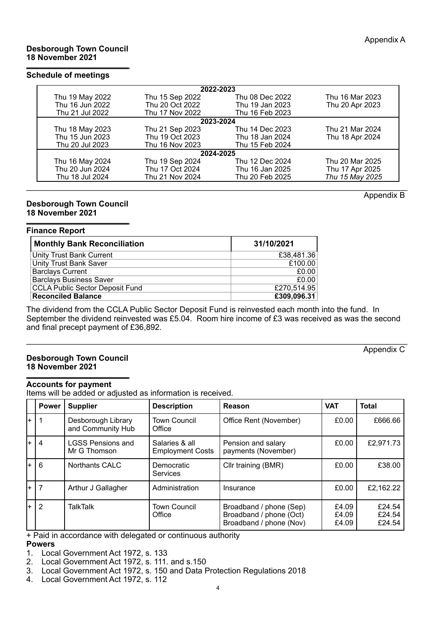#### **Desborough Town Council 18 November 2021**

#### **Schedule of meetings**

| 2022-2023       |                 |                 |                 |  |  |  |  |  |
|-----------------|-----------------|-----------------|-----------------|--|--|--|--|--|
| Thu 19 May 2022 | Thu 15 Sep 2022 | Thu 08 Dec 2022 | Thu 16 Mar 2023 |  |  |  |  |  |
| Thu 16 Jun 2022 | Thu 20 Oct 2022 | Thu 19 Jan 2023 | Thu 20 Apr 2023 |  |  |  |  |  |
| Thu 21 Jul 2022 | Thu 17 Nov 2022 | Thu 16 Feb 2023 |                 |  |  |  |  |  |
| 2023-2024       |                 |                 |                 |  |  |  |  |  |
| Thu 18 May 2023 | Thu 21 Sep 2023 | Thu 14 Dec 2023 | Thu 21 Mar 2024 |  |  |  |  |  |
| Thu 15 Jun 2023 | Thu 19 Oct 2023 | Thu 18 Jan 2024 | Thu 18 Apr 2024 |  |  |  |  |  |
| Thu 20 Jul 2023 | Thu 16 Nov 2023 | Thu 15 Feb 2024 |                 |  |  |  |  |  |
| 2024-2025       |                 |                 |                 |  |  |  |  |  |
| Thu 16 May 2024 | Thu 19 Sep 2024 | Thu 12 Dec 2024 | Thu 20 Mar 2025 |  |  |  |  |  |
| Thu 20 Jun 2024 | Thu 17 Oct 2024 | Thu 16 Jan 2025 | Thu 17 Apr 2025 |  |  |  |  |  |
| Thu 18 Jul 2024 | Thu 21 Nov 2024 | Thu 20 Feb 2025 | Thu 15 May 2025 |  |  |  |  |  |
|                 |                 |                 |                 |  |  |  |  |  |

#### **Desborough Town Council 18 November 2021**

#### **Finance Report**

| <b>Monthly Bank Reconciliation</b>     | 31/10/2021  |  |
|----------------------------------------|-------------|--|
| <b>Unity Trust Bank Current</b>        | £38,481.36  |  |
| <b>Unity Trust Bank Saver</b>          | £100.00     |  |
| <b>Barclays Current</b>                | £0.00       |  |
| <b>Barclays Business Saver</b>         | £0.00       |  |
| <b>CCLA Public Sector Deposit Fund</b> | £270,514.95 |  |
| <b>Reconciled Balance</b>              | £309,096.31 |  |

The dividend from the CCLA Public Sector Deposit Fund is reinvested each month into the fund. In September the dividend reinvested was £5.04. Room hire income of £3 was received as was the second and final precept payment of £36,892.

#### **Desborough Town Council 18 November 2021**

#### **Accounts for payment**

Items will be added or adjusted as information is received.

|     | <b>Power</b>   | <b>Supplier</b>                          | <b>Description</b>                        | Reason                                                                        | <b>VAT</b>              | <b>Total</b>               |
|-----|----------------|------------------------------------------|-------------------------------------------|-------------------------------------------------------------------------------|-------------------------|----------------------------|
| I+. |                | Desborough Library<br>and Community Hub  | <b>Town Council</b><br>Office             | Office Rent (November)                                                        | £0.00                   | £666.66                    |
| l+  | 4              | <b>LGSS Pensions and</b><br>Mr G Thomson | Salaries & all<br><b>Employment Costs</b> | Pension and salary<br>payments (November)                                     | £0.00                   | £2,971.73                  |
| l+  | 6              | Northants CALC                           | Democratic<br><b>Services</b>             | Cllr training (BMR)                                                           | £0.00                   | £38.00                     |
| I+  |                | Arthur J Gallagher                       | Administration                            | Insurance                                                                     | £0.00                   | £2,162.22                  |
| l+  | $\overline{2}$ | TalkTalk                                 | <b>Town Council</b><br>Office             | Broadband / phone (Sep)<br>Broadband / phone (Oct)<br>Broadband / phone (Nov) | £4.09<br>£4.09<br>£4.09 | £24.54<br>£24.54<br>£24.54 |

+ Paid in accordance with delegated or continuous authority

# **Powers**

- 1. Local Government Act 1972, s. 133
- 2. Local Government Act 1972, s. 111. and s.150
- 3. Local Government Act 1972, s. 150 and Data Protection Regulations 2018
- 4. Local Government Act 1972, s. 112

Appendix B

 $\_$  , and the set of the set of the set of the set of the set of the set of the set of the set of the set of the set of the set of the set of the set of the set of the set of the set of the set of the set of the set of th Appendix C